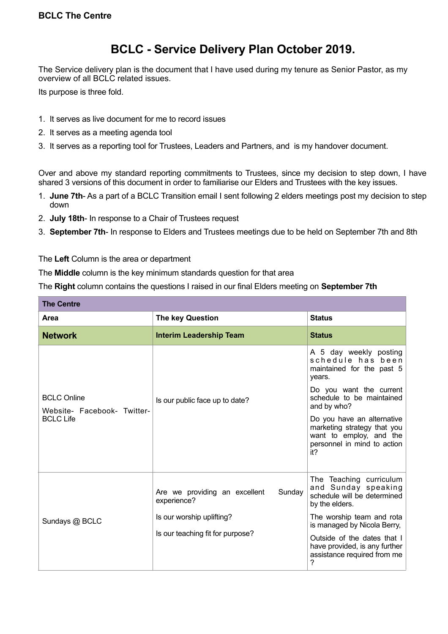## **BCLC - Service Delivery Plan October 2019.**

The Service delivery plan is the document that I have used during my tenure as Senior Pastor, as my overview of all BCLC related issues.

Its purpose is three fold.

- 1. It serves as live document for me to record issues
- 2. It serves as a meeting agenda tool
- 3. It serves as a reporting tool for Trustees, Leaders and Partners, and is my handover document.

Over and above my standard reporting commitments to Trustees, since my decision to step down, I have shared 3 versions of this document in order to familiarise our Elders and Trustees with the key issues.

- 1. **June 7th** As a part of a BCLC Transition email I sent following 2 elders meetings post my decision to step down
- 2. **July 18th** In response to a Chair of Trustees request
- 3. **September 7th** In response to Elders and Trustees meetings due to be held on September 7th and 8th

The **Left** Column is the area or department

The **Middle** column is the key minimum standards question for that area

The **Right** column contains the questions I raised in our final Elders meeting on **September 7th**

| <b>The Centre</b>                                                     |                                                               |                                                                                                                            |  |  |
|-----------------------------------------------------------------------|---------------------------------------------------------------|----------------------------------------------------------------------------------------------------------------------------|--|--|
| Area                                                                  | The key Question                                              | <b>Status</b>                                                                                                              |  |  |
| <b>Network</b>                                                        | <b>Interim Leadership Team</b>                                | <b>Status</b>                                                                                                              |  |  |
| <b>BCLC Online</b><br>Website- Facebook- Twitter-<br><b>BCLC Life</b> | Is our public face up to date?                                | A 5 day weekly posting<br>schedule has been<br>maintained for the past 5<br>years.                                         |  |  |
|                                                                       |                                                               | Do you want the current<br>schedule to be maintained<br>and by who?                                                        |  |  |
|                                                                       |                                                               | Do you have an alternative<br>marketing strategy that you<br>want to employ, and the<br>personnel in mind to action<br>it? |  |  |
| Sundays @ BCLC                                                        | Sunday<br>Are we providing an excellent<br>experience?        | The Teaching curriculum<br>and Sunday speaking<br>schedule will be determined<br>by the elders.                            |  |  |
|                                                                       | Is our worship uplifting?<br>Is our teaching fit for purpose? | The worship team and rota<br>is managed by Nicola Berry,                                                                   |  |  |
|                                                                       |                                                               | Outside of the dates that I<br>have provided, is any further<br>assistance required from me<br>7                           |  |  |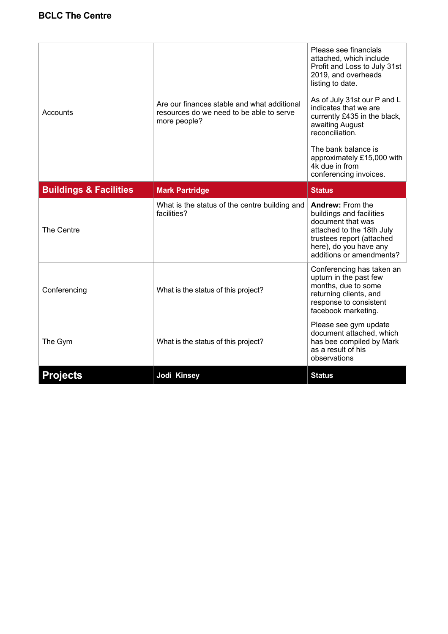| Accounts                          | Are our finances stable and what additional<br>resources do we need to be able to serve<br>more people? | Please see financials<br>attached, which include<br>Profit and Loss to July 31st<br>2019, and overheads<br>listing to date.<br>As of July 31st our P and L<br>indicates that we are<br>currently £435 in the black,<br>awaiting August<br>reconciliation.<br>The bank balance is<br>approximately £15,000 with<br>4k due in from<br>conferencing invoices. |
|-----------------------------------|---------------------------------------------------------------------------------------------------------|------------------------------------------------------------------------------------------------------------------------------------------------------------------------------------------------------------------------------------------------------------------------------------------------------------------------------------------------------------|
| <b>Buildings &amp; Facilities</b> | <b>Mark Partridge</b>                                                                                   | <b>Status</b>                                                                                                                                                                                                                                                                                                                                              |
| The Centre                        | What is the status of the centre building and<br>facilities?                                            | <b>Andrew: From the</b><br>buildings and facilities<br>document that was<br>attached to the 18th July<br>trustees report (attached<br>here), do you have any<br>additions or amendments?                                                                                                                                                                   |
| Conferencing                      | What is the status of this project?                                                                     | Conferencing has taken an<br>upturn in the past few<br>months, due to some<br>returning clients, and<br>response to consistent<br>facebook marketing.                                                                                                                                                                                                      |
| The Gym                           | What is the status of this project?                                                                     | Please see gym update<br>document attached, which<br>has bee compiled by Mark<br>as a result of his<br>observations                                                                                                                                                                                                                                        |
| <b>Projects</b>                   | Jodi Kinsey                                                                                             | <b>Status</b>                                                                                                                                                                                                                                                                                                                                              |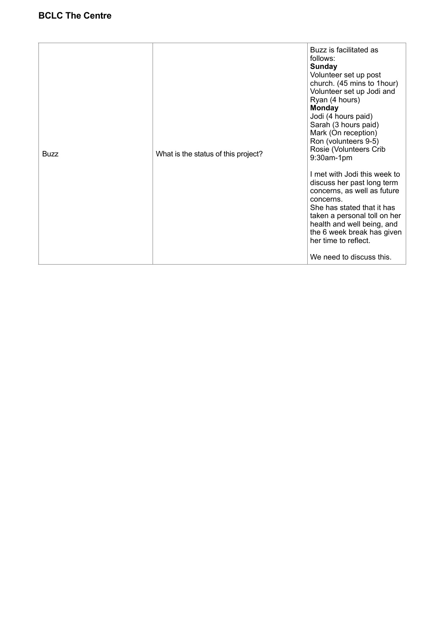## **BCLC The Centre**

| <b>Buzz</b> | What is the status of this project? | Buzz is facilitated as<br>follows:<br>Sunday<br>Volunteer set up post<br>church. (45 mins to 1hour)<br>Volunteer set up Jodi and<br>Ryan (4 hours)<br><b>Monday</b><br>Jodi (4 hours paid)<br>Sarah (3 hours paid)<br>Mark (On reception)<br>Ron (volunteers 9-5)<br>Rosie (Volunteers Crib<br>9:30am-1pm<br>I met with Jodi this week to<br>discuss her past long term<br>concerns, as well as future<br>concerns.<br>She has stated that it has |
|-------------|-------------------------------------|---------------------------------------------------------------------------------------------------------------------------------------------------------------------------------------------------------------------------------------------------------------------------------------------------------------------------------------------------------------------------------------------------------------------------------------------------|
|             |                                     | taken a personal toll on her<br>health and well being, and<br>the 6 week break has given<br>her time to reflect.<br>We need to discuss this.                                                                                                                                                                                                                                                                                                      |
|             |                                     |                                                                                                                                                                                                                                                                                                                                                                                                                                                   |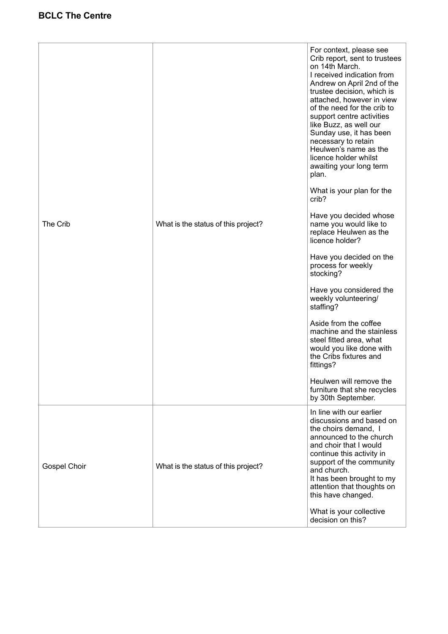|              | What is the status of this project? | For context, please see<br>Crib report, sent to trustees<br>on 14th March.<br>I received indication from                                                                                                                                                                                                            |
|--------------|-------------------------------------|---------------------------------------------------------------------------------------------------------------------------------------------------------------------------------------------------------------------------------------------------------------------------------------------------------------------|
|              |                                     | Andrew on April 2nd of the<br>trustee decision, which is<br>attached, however in view<br>of the need for the crib to<br>support centre activities<br>like Buzz, as well our<br>Sunday use, it has been<br>necessary to retain<br>Heulwen's name as the<br>licence holder whilst<br>awaiting your long term<br>plan. |
|              |                                     | What is your plan for the<br>crib?                                                                                                                                                                                                                                                                                  |
| The Crib     |                                     | Have you decided whose<br>name you would like to<br>replace Heulwen as the<br>licence holder?                                                                                                                                                                                                                       |
|              |                                     | Have you decided on the<br>process for weekly<br>stocking?                                                                                                                                                                                                                                                          |
|              |                                     | Have you considered the<br>weekly volunteering/<br>staffing?                                                                                                                                                                                                                                                        |
|              |                                     | Aside from the coffee<br>machine and the stainless<br>steel fitted area, what<br>would you like done with<br>the Cribs fixtures and<br>fittings?                                                                                                                                                                    |
|              |                                     | Heulwen will remove the<br>furniture that she recycles<br>by 30th September.                                                                                                                                                                                                                                        |
| Gospel Choir | What is the status of this project? | In line with our earlier<br>discussions and based on<br>the choirs demand, I<br>announced to the church<br>and choir that I would<br>continue this activity in<br>support of the community<br>and church.<br>It has been brought to my<br>attention that thoughts on<br>this have changed.                          |
|              |                                     | What is your collective<br>decision on this?                                                                                                                                                                                                                                                                        |